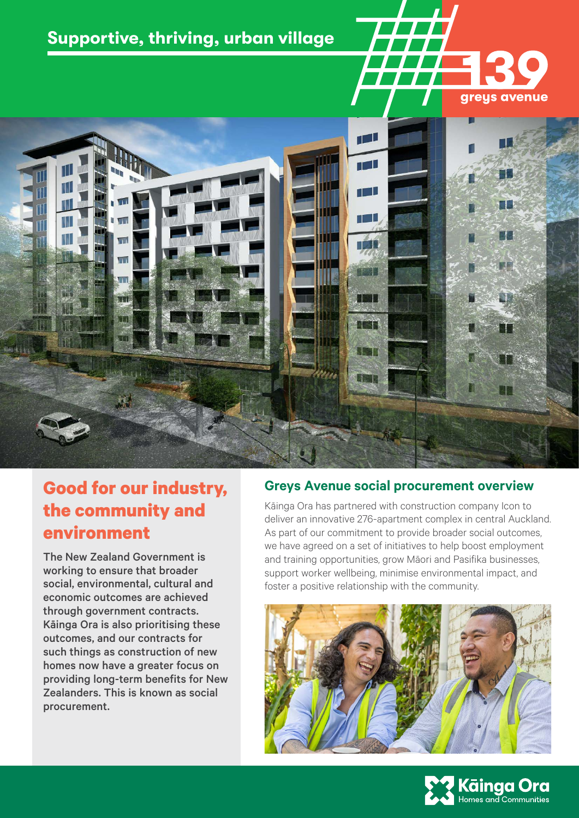# **Supportive, thriving, urban village**





# **Good for our industry, the community and environment**

The New Zealand Government is working to ensure that broader social, environmental, cultural and economic outcomes are achieved through government contracts. Kāinga Ora is also prioritising these outcomes, and our contracts for such things as construction of new homes now have a greater focus on providing long-term benefits for New Zealanders. This is known as social procurement.

# **Greys Avenue social procurement overview**

Kāinga Ora has partnered with construction company Icon to deliver an innovative 276-apartment complex in central Auckland. As part of our commitment to provide broader social outcomes, we have agreed on a set of initiatives to help boost employment and training opportunities, grow Māori and Pasifika businesses, support worker wellbeing, minimise environmental impact, and foster a positive relationship with the community.